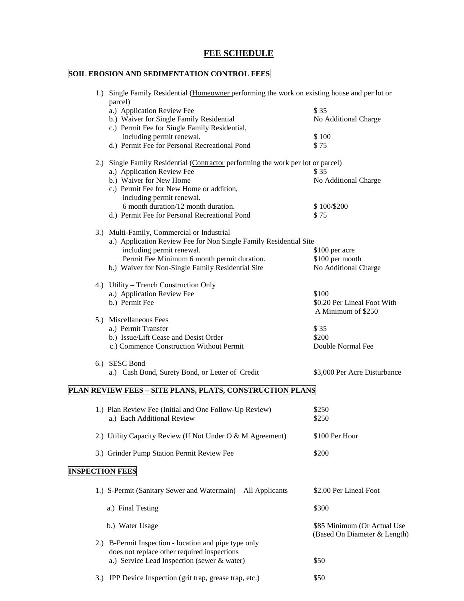# **FEE SCHEDULE**

# **SOIL EROSION AND SEDIMENTATION CONTROL FEES**

|                        | 1.) Single Family Residential (Homeowner performing the work on existing house and per lot or |                              |
|------------------------|-----------------------------------------------------------------------------------------------|------------------------------|
|                        | parcel)<br>a.) Application Review Fee                                                         | \$35                         |
|                        | b.) Waiver for Single Family Residential                                                      |                              |
|                        |                                                                                               | No Additional Charge         |
|                        | c.) Permit Fee for Single Family Residential,                                                 |                              |
|                        | including permit renewal.                                                                     | \$100                        |
|                        | d.) Permit Fee for Personal Recreational Pond                                                 | \$75                         |
|                        | 2.) Single Family Residential (Contractor performing the work per lot or parcel)              |                              |
|                        | a.) Application Review Fee                                                                    | \$ 35                        |
|                        | b.) Waiver for New Home                                                                       | No Additional Charge         |
|                        | c.) Permit Fee for New Home or addition,                                                      |                              |
|                        | including permit renewal.                                                                     |                              |
|                        | 6 month duration/12 month duration.                                                           | \$100/\$200                  |
|                        | d.) Permit Fee for Personal Recreational Pond                                                 | \$75                         |
|                        | 3.) Multi-Family, Commercial or Industrial                                                    |                              |
|                        | a.) Application Review Fee for Non Single Family Residential Site                             |                              |
|                        | including permit renewal.                                                                     | \$100 per acre               |
|                        | Permit Fee Minimum 6 month permit duration.                                                   | \$100 per month              |
|                        | b.) Waiver for Non-Single Family Residential Site                                             | No Additional Charge         |
|                        | 4.) Utility – Trench Construction Only                                                        |                              |
|                        | a.) Application Review Fee                                                                    | \$100                        |
|                        | b.) Permit Fee                                                                                | \$0.20 Per Lineal Foot With  |
|                        |                                                                                               | A Minimum of \$250           |
|                        | 5.) Miscellaneous Fees                                                                        |                              |
|                        |                                                                                               |                              |
|                        | a.) Permit Transfer                                                                           | \$35                         |
|                        | b.) Issue/Lift Cease and Desist Order                                                         | \$200                        |
|                        | c.) Commence Construction Without Permit                                                      | Double Normal Fee            |
|                        | 6.) SESC Bond                                                                                 |                              |
|                        | a.) Cash Bond, Surety Bond, or Letter of Credit                                               | \$3,000 Per Acre Disturbance |
|                        | PLAN REVIEW FEES - SITE PLANS, PLATS, CONSTRUCTION PLANS                                      |                              |
|                        |                                                                                               |                              |
|                        | 1.) Plan Review Fee (Initial and One Follow-Up Review)                                        | \$250                        |
|                        | a.) Each Additional Review                                                                    | \$250                        |
|                        | 2.) Utility Capacity Review (If Not Under O & M Agreement)                                    | \$100 Per Hour               |
|                        |                                                                                               |                              |
|                        | 3.) Grinder Pump Station Permit Review Fee                                                    | \$200                        |
| <b>INSPECTION FEES</b> |                                                                                               |                              |
|                        |                                                                                               |                              |
|                        | 1.) S-Permit (Sanitary Sewer and Watermain) - All Applicants                                  | \$2.00 Per Lineal Foot       |
|                        | a.) Final Testing                                                                             | \$300                        |
|                        | b.) Water Usage                                                                               | \$85 Minimum (Or Actual Use  |
|                        |                                                                                               | (Based On Diameter & Length) |
|                        | 2.) B-Permit Inspection - location and pipe type only                                         |                              |
|                        | does not replace other required inspections                                                   |                              |
|                        | a.) Service Lead Inspection (sewer & water)                                                   | \$50                         |

3.) IPP Device Inspection (grit trap, grease trap, etc.) \$50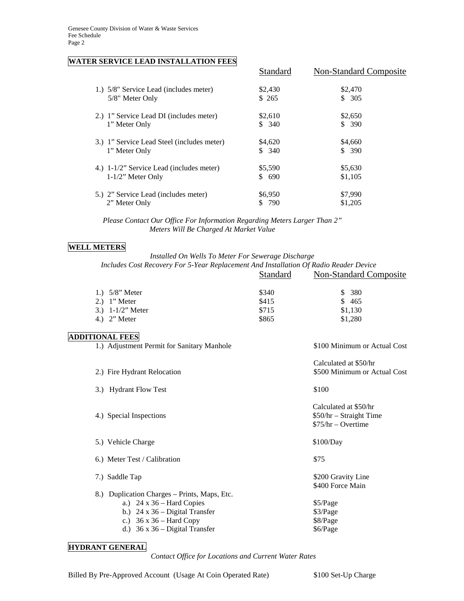#### **WATER SERVICE LEAD INSTALLATION FEES**

|                                            | Standard | Non-Standard Composite |
|--------------------------------------------|----------|------------------------|
| 1.) 5/8" Service Lead (includes meter)     | \$2,430  | \$2,470                |
| 5/8" Meter Only                            | \$265    | \$305                  |
| 2.) 1" Service Lead DI (includes meter)    | \$2,610  | \$2,650                |
| 1" Meter Only                              | \$340    | \$390                  |
| 3.) 1" Service Lead Steel (includes meter) | \$4,620  | \$4,660                |
| 1" Meter Only                              | \$340    | \$390                  |
| 4.) 1-1/2" Service Lead (includes meter)   | \$5,590  | \$5,630                |
| $1-1/2$ " Meter Only                       | \$690    | \$1,105                |
| 5.) 2" Service Lead (includes meter)       | \$6,950  | \$7,990                |
| 2" Meter Only                              | 790      | \$1,205                |

 *Please Contact Our Office For Information Regarding Meters Larger Than 2" Meters Will Be Charged At Market Value*

#### **WELL METERS**

#### *Installed On Wells To Meter For Sewerage Discharge*

*Includes Cost Recovery For 5-Year Replacement And Installation Of Radio Reader Device*

|                                                                              | Standard                         | <b>Non-Standard Composite</b>                                            |
|------------------------------------------------------------------------------|----------------------------------|--------------------------------------------------------------------------|
| 1.) $5/8$ " Meter<br>$2.)$ 1" Meter<br>3.) $1 - 1/2$ " Meter<br>4.) 2" Meter | \$340<br>\$415<br>\$715<br>\$865 | 380<br>\$.<br>\$465<br>\$1,130<br>\$1,280                                |
| <b>ADDITIONAL FEES</b><br>1.) Adjustment Permit for Sanitary Manhole         |                                  | \$100 Minimum or Actual Cost                                             |
| 2.) Fire Hydrant Relocation                                                  |                                  | Calculated at \$50/hr<br>\$500 Minimum or Actual Cost                    |
| 3.) Hydrant Flow Test                                                        |                                  | \$100                                                                    |
| 4.) Special Inspections                                                      |                                  | Calculated at \$50/hr<br>$$50/hr - Straight Time$<br>$$75/hr - Overtime$ |
| 5.) Vehicle Charge                                                           |                                  | \$100/Day                                                                |
| 6.) Meter Test / Calibration                                                 |                                  | \$75                                                                     |
| 7.) Saddle Tap                                                               |                                  | \$200 Gravity Line<br>\$400 Force Main                                   |
| 8.) Duplication Charges – Prints, Maps, Etc.                                 |                                  |                                                                          |

- a.)  $24 \times 36$  Hard Copies  $$5/Page$ <br>b.)  $24 \times 36$  Digital Transfer  $$3/Page$ 
	- b.) 24 x 36 Digital Transfer c.)  $36 \times 36$  – Hard Copy  $$8/Page$ 
		- d.)  $36 \times 36$  Digital Transfer  $$6/Page$
- **HYDRANT GENERAL**

 *Contact Office for Locations and Current Water Rates*